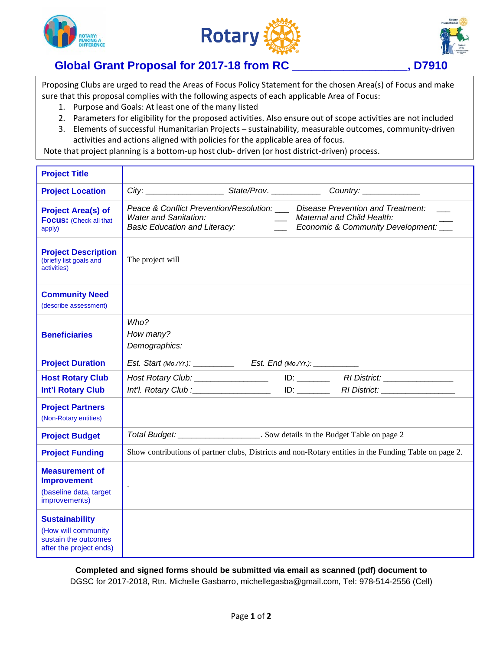





## **Global Grant Proposal for 2017-18 from RC \_\_\_\_\_\_\_\_\_\_\_\_\_\_\_\_\_\_, D7910**

Proposing Clubs are urged to read the Areas of Focus Policy Statement for the chosen Area(s) of Focus and make sure that this proposal complies with the following aspects of each applicable Area of Focus:

- 1. Purpose and Goals: At least one of the many listed
- 2. Parameters for eligibility for the proposed activities. Also ensure out of scope activities are not included 3. Elements of successful Humanitarian Projects – sustainability, measurable outcomes, community-driven
- activities and actions aligned with policies for the applicable area of focus.

Note that project planning is a bottom-up host club- driven (or host district-driven) process.

| <b>Project Title</b>                                                                            |                                                                                                                                                                                                                                 |  |  |
|-------------------------------------------------------------------------------------------------|---------------------------------------------------------------------------------------------------------------------------------------------------------------------------------------------------------------------------------|--|--|
| <b>Project Location</b>                                                                         |                                                                                                                                                                                                                                 |  |  |
| <b>Project Area(s) of</b><br><b>Focus:</b> (Check all that<br>apply)                            | Peace & Conflict Prevention/Resolution: ___ Disease Prevention and Treatment:<br><b>Water and Sanitation:</b><br>__ Maternal and Child Health:<br><b>Basic Education and Literacy:</b><br>Economic & Community Development: ___ |  |  |
| <b>Project Description</b><br>(briefly list goals and<br>activities)                            | The project will                                                                                                                                                                                                                |  |  |
| <b>Community Need</b><br>(describe assessment)                                                  |                                                                                                                                                                                                                                 |  |  |
| <b>Beneficiaries</b>                                                                            | Who?<br>How many?<br>Demographics:                                                                                                                                                                                              |  |  |
| <b>Project Duration</b>                                                                         |                                                                                                                                                                                                                                 |  |  |
| <b>Host Rotary Club</b><br><b>Int'l Rotary Club</b>                                             | Host Rotary Club: ___________________<br>Int'l. Rotary Club : Marian Marian Marian Maria Maria Maria Maria Maria Maria Maria Maria Maria Maria Maria Ma                                                                         |  |  |
| <b>Project Partners</b><br>(Non-Rotary entities)                                                |                                                                                                                                                                                                                                 |  |  |
| <b>Project Budget</b>                                                                           | Total Budget: _______________________. Sow details in the Budget Table on page 2                                                                                                                                                |  |  |
| <b>Project Funding</b>                                                                          | Show contributions of partner clubs, Districts and non-Rotary entities in the Funding Table on page 2.                                                                                                                          |  |  |
| <b>Measurement of</b><br><b>Improvement</b><br>(baseline data, target<br>improvements)          |                                                                                                                                                                                                                                 |  |  |
| <b>Sustainability</b><br>(How will community<br>sustain the outcomes<br>after the project ends) |                                                                                                                                                                                                                                 |  |  |

**Completed and signed forms should be submitted via email as scanned (pdf) document to** DGSC for 2017-2018, Rtn. Michelle Gasbarro, michellegasba@gmail.com, Tel: 978-514-2556 (Cell)